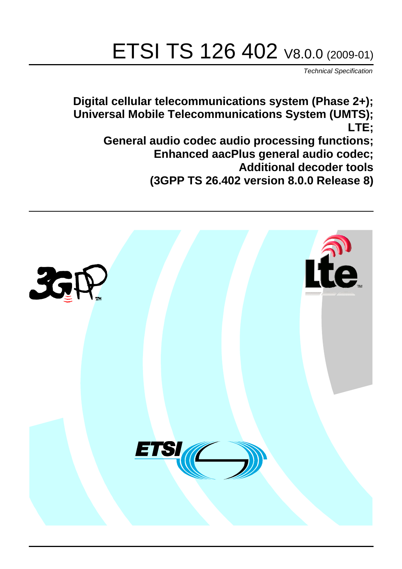# ETSI TS 126 402 V8.0.0 (2009-01)

*Technical Specification*

**Digital cellular telecommunications system (Phase 2+); Universal Mobile Telecommunications System (UMTS); LTE;**

**General audio codec audio processing functions; Enhanced aacPlus general audio codec; Additional decoder tools (3GPP TS 26.402 version 8.0.0 Release 8)**

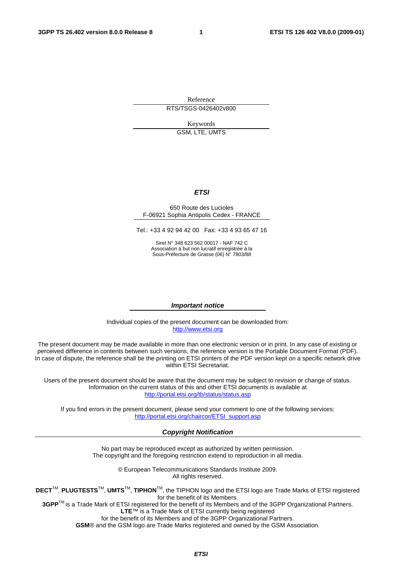Reference RTS/TSGS-0426402v800

> Keywords GSM, LTE, UMTS

#### *ETSI*

#### 650 Route des Lucioles F-06921 Sophia Antipolis Cedex - FRANCE

Tel.: +33 4 92 94 42 00 Fax: +33 4 93 65 47 16

Siret N° 348 623 562 00017 - NAF 742 C Association à but non lucratif enregistrée à la Sous-Préfecture de Grasse (06) N° 7803/88

#### *Important notice*

Individual copies of the present document can be downloaded from: [http://www.etsi.org](http://www.etsi.org/)

The present document may be made available in more than one electronic version or in print. In any case of existing or perceived difference in contents between such versions, the reference version is the Portable Document Format (PDF). In case of dispute, the reference shall be the printing on ETSI printers of the PDF version kept on a specific network drive within ETSI Secretariat.

Users of the present document should be aware that the document may be subject to revision or change of status. Information on the current status of this and other ETSI documents is available at <http://portal.etsi.org/tb/status/status.asp>

If you find errors in the present document, please send your comment to one of the following services: [http://portal.etsi.org/chaircor/ETSI\\_support.asp](http://portal.etsi.org/chaircor/ETSI_support.asp)

#### *Copyright Notification*

No part may be reproduced except as authorized by written permission. The copyright and the foregoing restriction extend to reproduction in all media.

> © European Telecommunications Standards Institute 2009. All rights reserved.

**DECT**TM, **PLUGTESTS**TM, **UMTS**TM, **TIPHON**TM, the TIPHON logo and the ETSI logo are Trade Marks of ETSI registered for the benefit of its Members.

**3GPP**TM is a Trade Mark of ETSI registered for the benefit of its Members and of the 3GPP Organizational Partners. **LTE**™ is a Trade Mark of ETSI currently being registered

for the benefit of its Members and of the 3GPP Organizational Partners.

**GSM**® and the GSM logo are Trade Marks registered and owned by the GSM Association.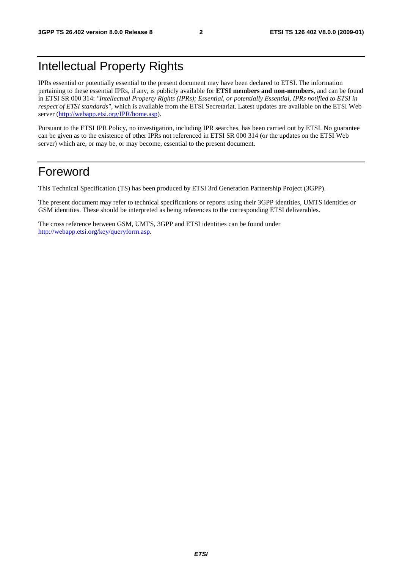### Intellectual Property Rights

IPRs essential or potentially essential to the present document may have been declared to ETSI. The information pertaining to these essential IPRs, if any, is publicly available for **ETSI members and non-members**, and can be found in ETSI SR 000 314: *"Intellectual Property Rights (IPRs); Essential, or potentially Essential, IPRs notified to ETSI in respect of ETSI standards"*, which is available from the ETSI Secretariat. Latest updates are available on the ETSI Web server ([http://webapp.etsi.org/IPR/home.asp\)](http://webapp.etsi.org/IPR/home.asp).

Pursuant to the ETSI IPR Policy, no investigation, including IPR searches, has been carried out by ETSI. No guarantee can be given as to the existence of other IPRs not referenced in ETSI SR 000 314 (or the updates on the ETSI Web server) which are, or may be, or may become, essential to the present document.

### Foreword

This Technical Specification (TS) has been produced by ETSI 3rd Generation Partnership Project (3GPP).

The present document may refer to technical specifications or reports using their 3GPP identities, UMTS identities or GSM identities. These should be interpreted as being references to the corresponding ETSI deliverables.

The cross reference between GSM, UMTS, 3GPP and ETSI identities can be found under [http://webapp.etsi.org/key/queryform.asp.](http://webapp.etsi.org/key/queryform.asp)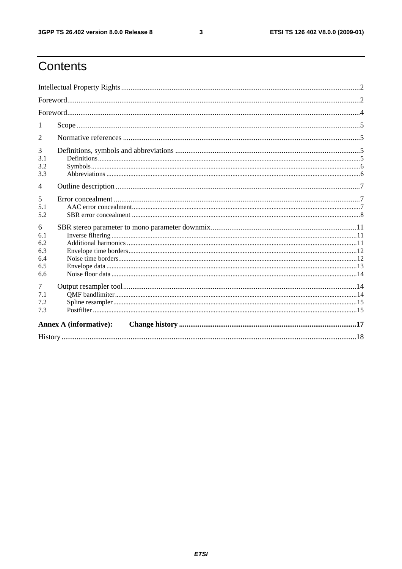$\mathbf{3}$ 

### Contents

| 1                                           |  |  |  |
|---------------------------------------------|--|--|--|
| 2                                           |  |  |  |
| 3<br>3.1<br>3.2<br>3.3                      |  |  |  |
| $\overline{4}$                              |  |  |  |
| 5<br>5.1<br>5.2                             |  |  |  |
| 6<br>6.1<br>6.2<br>6.3<br>6.4<br>6.5<br>6.6 |  |  |  |
| 7<br>7.1<br>7.2<br>7.3                      |  |  |  |
| <b>Annex A (informative):</b>               |  |  |  |
|                                             |  |  |  |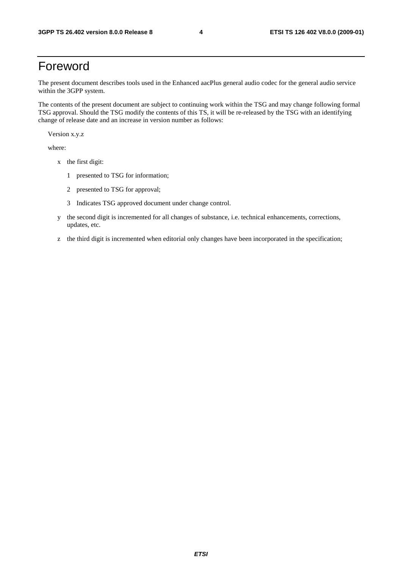### Foreword

The present document describes tools used in the Enhanced aacPlus general audio codec for the general audio service within the 3GPP system.

The contents of the present document are subject to continuing work within the TSG and may change following formal TSG approval. Should the TSG modify the contents of this TS, it will be re-released by the TSG with an identifying change of release date and an increase in version number as follows:

Version x.y.z

where:

- x the first digit:
	- 1 presented to TSG for information;
	- 2 presented to TSG for approval;
	- 3 Indicates TSG approved document under change control.
- y the second digit is incremented for all changes of substance, i.e. technical enhancements, corrections, updates, etc.
- z the third digit is incremented when editorial only changes have been incorporated in the specification;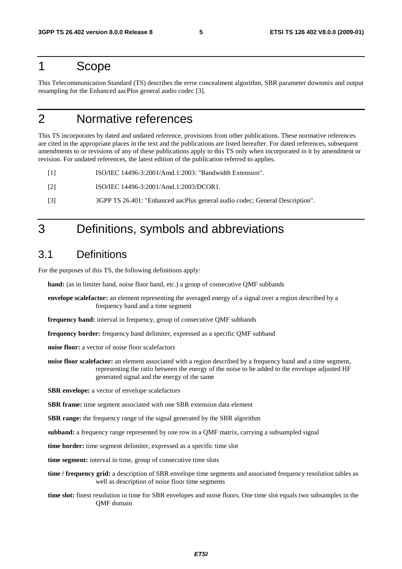### 1 Scope

This Telecommunication Standard (TS) describes the error concealment algorithm, SBR parameter downmix and output resampling for the Enhanced aacPlus general audio codec [3].

### 2 Normative references

This TS incorporates by dated and undated reference, provisions from other publications. These normative references are cited in the appropriate places in the text and the publications are listed hereafter. For dated references, subsequent amendments to or revisions of any of these publications apply to this TS only when incorporated in it by amendment or revision. For undated references, the latest edition of the publication referred to applies.

[1] ISO/IEC 14496-3:2001/Amd.1:2003: "Bandwidth Extension".

- [2] ISO/IEC 14496-3:2001/Amd.1:2003/DCOR1.
- [3] 3GPP TS 26.401: "Enhanced aacPlus general audio codec; General Description".

### 3 Definitions, symbols and abbreviations

### 3.1 Definitions

For the purposes of this TS, the following definitions apply:

**band:** (as in limiter band, noise floor band, etc.) a group of consecutive QMF subbands

**envelope scalefactor:** an element representing the averaged energy of a signal over a region described by a frequency band and a time segment

**frequency band:** interval in frequency, group of consecutive QMF subbands

**frequency border:** frequency band delimiter, expressed as a specific QMF subband

**noise floor:** a vector of noise floor scalefactors

**noise floor scalefactor:** an element associated with a region described by a frequency band and a time segment, representing the ratio between the energy of the noise to be added to the envelope adjusted HF generated signal and the energy of the same

**SBR envelope:** a vector of envelope scalefactors

**SBR frame:** time segment associated with one SBR extension data element

**SBR range:** the frequency range of the signal generated by the SBR algorithm

**subband:** a frequency range represented by one row in a QMF matrix, carrying a subsampled signal

**time border:** time segment delimiter, expressed as a specific time slot

**time segment:** interval in time, group of consecutive time slots

- **time / frequency grid:** a description of SBR envelope time segments and associated frequency resolution tables as well as description of noise floor time segments
- **time slot:** finest resolution in time for SBR envelopes and noise floors. One time slot equals two subsamples in the QMF domain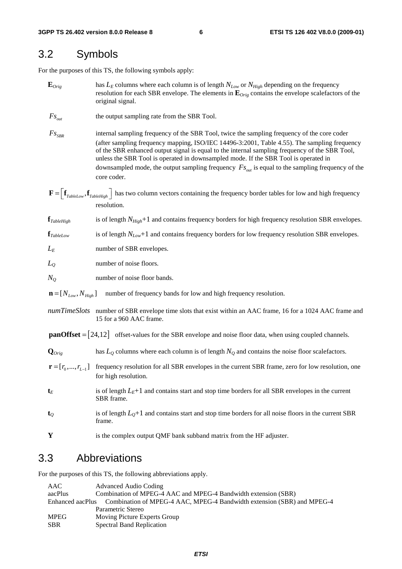### 3.2 Symbols

For the purposes of this TS, the following symbols apply:

- $\mathbf{E}_{Orig}$  has  $L_E$  columns where each column is of length  $N_{Low}$  or  $N_{High}$  depending on the frequency resolution for each SBR envelope. The elements in **E***Orig* contains the envelope scalefactors of the original signal.
- *Fs*<sub>*out*</sub> the output sampling rate from the SBR Tool.
- *F S*<sub>SFR</sub> internal sampling frequency of the SBR Tool, twice the sampling frequency of the core coder (after sampling frequency mapping, ISO/IEC 14496-3:2001, Table 4.55). The sampling frequency of the SBR enhanced output signal is equal to the internal sampling frequency of the SBR Tool, unless the SBR Tool is operated in downsampled mode. If the SBR Tool is operated in downsampled mode, the output sampling frequency  $F_{S_{out}}$  is equal to the sampling frequency of the core coder.
- $\mathbf{F} = \begin{bmatrix} \mathbf{f}_{\text{TableLow}} , \mathbf{f}_{\text{TableHigh}} \end{bmatrix}$  has two column vectors containing the frequency border tables for low and high frequency resolution.

**f**<sub>*TableHigh* is of length *N<sub>High</sub>*+1 and contains frequency borders for high frequency resolution SBR envelopes.</sub>

**f***TableLow* is of length *NLow*+1 and contains frequency borders for low frequency resolution SBR envelopes.

*L<sub>E</sub>* number of SBR envelopes.

*L*<sub>Q</sub> number of noise floors.

*N<sub>O</sub>* number of noise floor bands.

 $\mathbf{n} = [N_{low}, N_{high}]$  number of frequency bands for low and high frequency resolution.

*numTimeSlots* number of SBR envelope time slots that exist within an AAC frame, 16 for a 1024 AAC frame and 15 for a 960 AAC frame.

**panOffset**  $= [24,12]$  offset-values for the SBR envelope and noise floor data, when using coupled channels.

- $\mathbf{Q}_{\text{Orig}}$  has  $L_0$  columns where each column is of length  $N_0$  and contains the noise floor scalefactors.
- $\mathbf{r} = [r_0, ..., r_{l-1}]$  frequency resolution for all SBR envelopes in the current SBR frame, zero for low resolution, one for high resolution.
- $t_E$  is of length  $L_E+1$  and contains start and stop time borders for all SBR envelopes in the current SBR frame.
- $t_0$  is of length  $L_0+1$  and contains start and stop time borders for all noise floors in the current SBR frame.
- **Y** is the complex output QMF bank subband matrix from the HF adjuster.

### 3.3 Abbreviations

For the purposes of this TS, the following abbreviations apply.

| AAC                                                                                     | Advanced Audio Coding                                          |  |  |  |  |
|-----------------------------------------------------------------------------------------|----------------------------------------------------------------|--|--|--|--|
| aacPlus                                                                                 | Combination of MPEG-4 AAC and MPEG-4 Bandwidth extension (SBR) |  |  |  |  |
| Enhanced aacPlus Combination of MPEG-4 AAC, MPEG-4 Bandwidth extension (SBR) and MPEG-4 |                                                                |  |  |  |  |
|                                                                                         | Parametric Stereo                                              |  |  |  |  |
| <b>MPEG</b>                                                                             | Moving Picture Experts Group                                   |  |  |  |  |
| <b>SBR</b>                                                                              | <b>Spectral Band Replication</b>                               |  |  |  |  |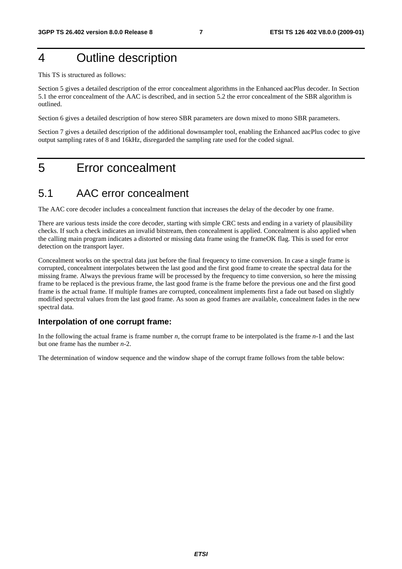### 4 Outline description

This TS is structured as follows:

Section 5 gives a detailed description of the error concealment algorithms in the Enhanced aacPlus decoder. In Section 5.1 the error concealment of the AAC is described, and in section 5.2 the error concealment of the SBR algorithm is outlined.

Section 6 gives a detailed description of how stereo SBR parameters are down mixed to mono SBR parameters.

Section 7 gives a detailed description of the additional downsampler tool, enabling the Enhanced aacPlus codec to give output sampling rates of 8 and 16kHz, disregarded the sampling rate used for the coded signal.

### 5 Error concealment

### 5.1 AAC error concealment

The AAC core decoder includes a concealment function that increases the delay of the decoder by one frame.

There are various tests inside the core decoder, starting with simple CRC tests and ending in a variety of plausibility checks. If such a check indicates an invalid bitstream, then concealment is applied. Concealment is also applied when the calling main program indicates a distorted or missing data frame using the frameOK flag. This is used for error detection on the transport layer.

Concealment works on the spectral data just before the final frequency to time conversion. In case a single frame is corrupted, concealment interpolates between the last good and the first good frame to create the spectral data for the missing frame. Always the previous frame will be processed by the frequency to time conversion, so here the missing frame to be replaced is the previous frame, the last good frame is the frame before the previous one and the first good frame is the actual frame. If multiple frames are corrupted, concealment implements first a fade out based on slightly modified spectral values from the last good frame. As soon as good frames are available, concealment fades in the new spectral data.

#### **Interpolation of one corrupt frame:**

In the following the actual frame is frame number *n*, the corrupt frame to be interpolated is the frame *n-*1 and the last but one frame has the number *n-*2.

The determination of window sequence and the window shape of the corrupt frame follows from the table below: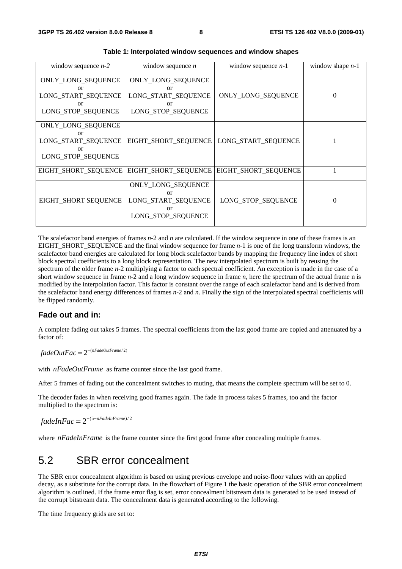| window sequence $n-2$                                                       | window sequence $n$                                                         | window sequence $n-1$ | window shape $n-1$ |  |
|-----------------------------------------------------------------------------|-----------------------------------------------------------------------------|-----------------------|--------------------|--|
| ONLY_LONG_SEQUENCE<br>or<br>LONG_START_SEQUENCE<br>or<br>LONG_STOP_SEQUENCE | ONLY_LONG_SEQUENCE<br>or<br>LONG_START_SEQUENCE<br>or<br>LONG_STOP_SEQUENCE | ONLY_LONG_SEQUENCE    | $\Omega$           |  |
| ONLY_LONG_SEQUENCE<br>or<br>LONG_START_SEQUENCE<br>or<br>LONG_STOP_SEQUENCE | EIGHT_SHORT_SEQUENCE                                                        | LONG_START_SEQUENCE   |                    |  |
| EIGHT_SHORT_SEQUENCE                                                        | EIGHT_SHORT_SEQUENCE                                                        | EIGHT_SHORT_SEQUENCE  |                    |  |
| EIGHT_SHORT SEQUENCE                                                        | ONLY_LONG_SEQUENCE<br>or<br>LONG_START_SEQUENCE<br>or<br>LONG_STOP_SEQUENCE | LONG_STOP_SEQUENCE    | $\theta$           |  |

**Table 1: Interpolated window sequences and window shapes** 

The scalefactor band energies of frames *n*-2 and *n* are calculated. If the window sequence in one of these frames is an EIGHT\_SHORT\_SEQUENCE and the final window sequence for frame *n*-1 is one of the long transform windows, the scalefactor band energies are calculated for long block scalefactor bands by mapping the frequency line index of short block spectral coefficients to a long block representation. The new interpolated spectrum is built by reusing the spectrum of the older frame *n*-2 multiplying a factor to each spectral coefficient. An exception is made in the case of a short window sequence in frame *n*-2 and a long window sequence in frame *n*, here the spectrum of the actual frame n is modified by the interpolation factor. This factor is constant over the range of each scalefactor band and is derived from the scalefactor band energy differences of frames *n*-2 and *n*. Finally the sign of the interpolated spectral coefficients will be flipped randomly.

### **Fade out and in:**

A complete fading out takes 5 frames. The spectral coefficients from the last good frame are copied and attenuated by a factor of:

 $fadeOutFac = 2^{-(nFadeOutFrame/2)}$ 

with *nFadeOutFrame* as frame counter since the last good frame.

After 5 frames of fading out the concealment switches to muting, that means the complete spectrum will be set to 0.

The decoder fades in when receiving good frames again. The fade in process takes 5 frames, too and the factor multiplied to the spectrum is:

 $fadeInFac = 2^{-(5-nFadeInFrame)/2}$ 

where *nFadeInFrame* is the frame counter since the first good frame after concealing multiple frames.

### 5.2 SBR error concealment

The SBR error concealment algorithm is based on using previous envelope and noise-floor values with an applied decay, as a substitute for the corrupt data. In the flowchart of Figure 1 the basic operation of the SBR error concealment algorithm is outlined. If the frame error flag is set, error concealment bitstream data is generated to be used instead of the corrupt bitstream data. The concealment data is generated according to the following.

The time frequency grids are set to: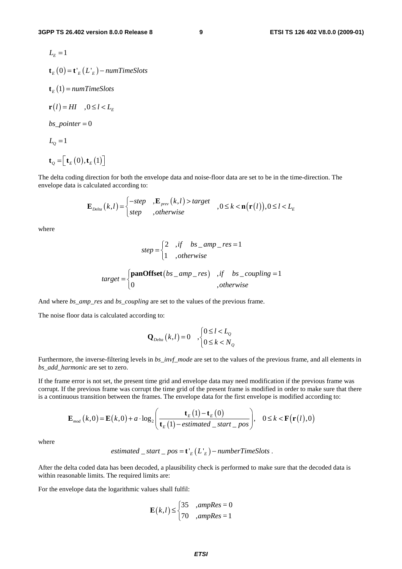$$
L_{E} = 1
$$
  
\n
$$
\mathbf{t}_{E}(0) = \mathbf{t'}_{E}(L'_{E}) - numTimeSlots
$$
  
\n
$$
\mathbf{t}_{E}(1) = numTimeSlots
$$
  
\n
$$
\mathbf{r}(l) = HI \quad , 0 \le l < L_{E}
$$
  
\n
$$
bs\_pointer = 0
$$
  
\n
$$
L_{Q} = 1
$$
  
\n
$$
\mathbf{t}_{Q} = [\mathbf{t}_{E}(0), \mathbf{t}_{E}(1)]
$$

The delta coding direction for both the envelope data and noise-floor data are set to be in the time-direction. The envelope data is calculated according to:

$$
\mathbf{E}_{Delta}(k,l) = \begin{cases}\n -step & , \mathbf{E}_{prev}(k,l) > target \\
step & , otherwise\n\end{cases}, 0 \le k < \mathbf{n}(\mathbf{r}(l)), 0 \le l < L_E
$$

where

$$
step = \begin{cases} 2 & ,if \quad bs\_amp\_res = 1 \\ 1 & ,otherwise \end{cases}
$$
  

$$
target = \begin{cases} \textbf{panOffset}(bs\_amp\_res) & ,if \quad bs\_coupling = 1 \\ 0 & ,otherwise \end{cases}
$$

And where *bs\_amp\_res* and *bs\_coupling* are set to the values of the previous frame.

The noise floor data is calculated according to:

$$
\mathbf{Q}_{\text{Delta}}(k,l) = 0 \quad , \begin{cases} 0 \le l < L_{\text{Q}} \\ 0 \le k < N_{\text{Q}} \end{cases}
$$

Furthermore, the inverse-filtering levels in  $bs\_invf$  mode are set to the values of the previous frame, and all elements in *bs\_add\_harmonic* are set to zero.

If the frame error is not set, the present time grid and envelope data may need modification if the previous frame was corrupt. If the previous frame was corrupt the time grid of the present frame is modified in order to make sure that there is a continuous transition between the frames. The envelope data for the first envelope is modified according to:

$$
\mathbf{E}_{\text{mod}}(k,0) = \mathbf{E}(k,0) + a \cdot \log_2\left(\frac{\mathbf{t}_{E}(1) - \mathbf{t}_{E}(0)}{\mathbf{t}_{E}(1) - estimated\_start\_pos}\right), \quad 0 \le k < \mathbf{F}(\mathbf{r}(l),0)
$$

where

*estimated* \_*start* \_ *pos* = 
$$
\mathbf{t'}_E(L'_E)
$$
 - *numberTimeS lots* .

After the delta coded data has been decoded, a plausibility check is performed to make sure that the decoded data is within reasonable limits. The required limits are:

For the envelope data the logarithmic values shall fulfil:

$$
\mathbf{E}(k,l) \leq \begin{cases} 35 & ,amp;amp; \leq 0 \\ 70 & ,amp;amp; \leq 1 \end{cases}
$$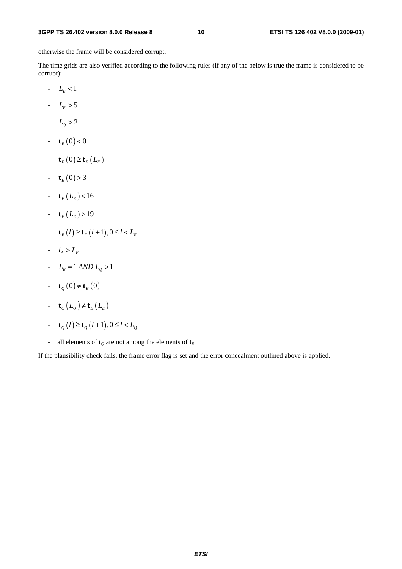otherwise the frame will be considered corrupt.

The time grids are also verified according to the following rules (if any of the below is true the frame is considered to be corrupt):

- $L_{E}$  <1
- $L_{E} > 5$
- $L_0 > 2$
- $\mathbf{t}_E(0) < 0$
- $\mathbf{t}_{F}(0) \geq \mathbf{t}_{F}(L_{F})$
- $-\mathbf{t}_{E}(0) > 3$
- $\mathbf{t}_E (L_E) < 16$
- $\mathbf{t}_E(L_E) > 19$
- $\mathbf{t}_{F}(l) \ge \mathbf{t}_{F}(l+1), 0 \le l \le L_{F}$
- $l_A > L_E$
- $L_E = 1 \text{ AND } L_Q > 1$
- $\mathbf{t}_{o}(0) \neq \mathbf{t}_{E}(0)$
- **t**<sub>Q</sub> $(L_0) \neq$ **t**<sub>E</sub> $(L_E)$
- $\mathbf{t}_{Q}(l) \ge \mathbf{t}_{Q}(l+1), 0 \le l < L_{Q}$
- all elements of  $\mathbf{t}_Q$  are not among the elements of  $\mathbf{t}_E$

If the plausibility check fails, the frame error flag is set and the error concealment outlined above is applied.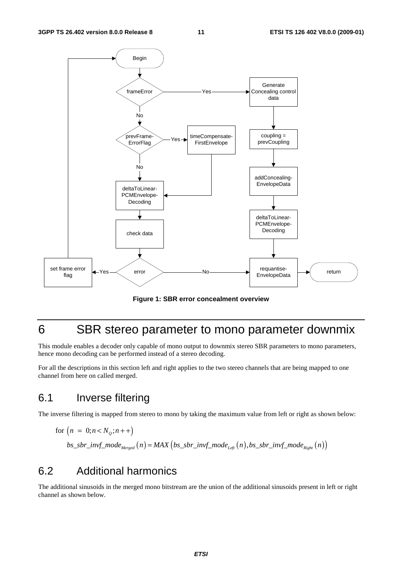

**Figure 1: SBR error concealment overview** 

### 6 SBR stereo parameter to mono parameter downmix

This module enables a decoder only capable of mono output to downmix stereo SBR parameters to mono parameters, hence mono decoding can be performed instead of a stereo decoding.

For all the descriptions in this section left and right applies to the two stereo channels that are being mapped to one channel from here on called merged.

### 6.1 Inverse filtering

The inverse filtering is mapped from stereo to mono by taking the maximum value from left or right as shown below:

for 
$$
(n = 0; n < N_Q; n++)
$$
  
\n $bs\_sbr\_invf\_mode_{Merged}(n) = MAX \left( bs\_sbr\_invf\_mode_{Left}(n), bs\_sbr\_invf\_mode_{Right}(n) \right)$ 

### 6.2 Additional harmonics

The additional sinusoids in the merged mono bitstream are the union of the additional sinusoids present in left or right channel as shown below.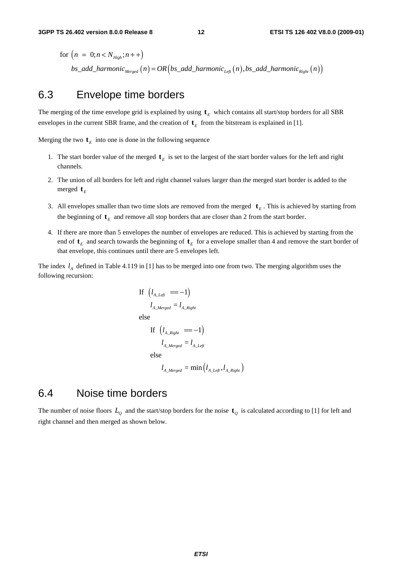for  $(n = 0; n < N_{High}; n++)$  $bs\_add\_harmonic_{Mergeed} (n) = OR \left ( bs\_add\_harmonic_{Lef}(n) , bs\_add\_harmonic_{Right} (n) \right )$ 

### 6.3 Envelope time borders

The merging of the time envelope grid is explained by using  $t<sub>E</sub>$  which contains all start/stop borders for all SBR envelopes in the current SBR frame, and the creation of  $\mathbf{t}_E$  from the bitstream is explained in [1].

Merging the two  $\mathbf{t}_E$  into one is done in the following sequence

- 1. The start border value of the merged  $t<sub>E</sub>$  is set to the largest of the start border values for the left and right channels.
- 2. The union of all borders for left and right channel values larger than the merged start border is added to the merged  $t_F$
- 3. All envelopes smaller than two time slots are removed from the merged  $\mathbf{t}_E$ . This is achieved by starting from the beginning of  $t_E$  and remove all stop borders that are closer than 2 from the start border.
- 4. If there are more than 5 envelopes the number of envelopes are reduced. This is achieved by starting from the end of  $t_F$  and search towards the beginning of  $t_F$  for a envelope smaller than 4 and remove the start border of that envelope, this continues until there are 5 envelopes left.

The index  $l_A$  defined in Table 4.119 in [1] has to be merged into one from two. The merging algorithm uses the following recursion:

If 
$$
(l_{A\_Left} == -1)
$$
  
\n $l_{A\_Merge} = l_{A\_Right}$   
\nelse

If 
$$
(l_{A\_Right} = -1)
$$
  
\n $l_{A\_Merge} = l_{A\_Left}$   
\nelse  
\n $l_{A\_Merge} = \min(l_{A\_Left}, l_{A\_Right})$ 

### 6.4 Noise time borders

The number of noise floors  $L_0$  and the start/stop borders for the noise  $t_0$  is calculated according to [1] for left and right channel and then merged as shown below.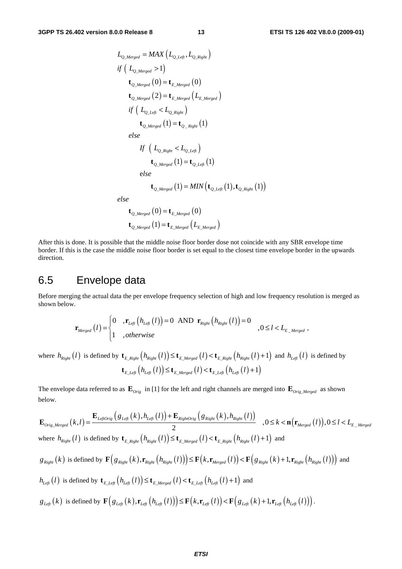$$
L_{Q\_Merged} = MAX (L_{Q\_Left}, L_{Q\_Right})
$$
  
if  $(L_{Q\_Merged} > 1)$   
 $\mathbf{t}_{Q\_Merged} (0) = \mathbf{t}_{E\_Merged} (0)$   
 $\mathbf{t}_{Q\_Merged} (2) = \mathbf{t}_{E\_Merged} (L_{E\_Merged})$   
if  $(L_{Q\_Left} < L_{Q\_Right})$   
 $\mathbf{t}_{Q\_Merged} (1) = \mathbf{t}_{Q\_Right} (1)$   
else  
If  $(L_{Q\_Right} < L_{Q\_Left})$ 

$$
\mathbf{t}_{\mathcal{Q}\_Merged}\left(1\right) = \mathbf{t}_{\mathcal{Q}\_Lefe}\left(1\right)
$$

e *lse*

$$
\mathbf{t}_{\mathcal{Q}\_Merged}\left(1\right)=MIN\left(\mathbf{t}_{\mathcal{Q}\_Left}\left(1\right),\mathbf{t}_{\mathcal{Q}\_Right}\left(1\right)\right)
$$

*else*

$$
\mathbf{t}_{Q\_Merged} (0) = \mathbf{t}_{E\_Merged} (0)
$$

$$
\mathbf{t}_{Q\_Merged} (1) = \mathbf{t}_{E\_Merged} (L_{E\_Merged})
$$

After this is done. It is possible that the middle noise floor border dose not coincide with any SBR envelope time border. If this is the case the middle noise floor border is set equal to the closest time envelope border in the upwards direction.

### 6.5 Envelope data

Before merging the actual data the per envelope frequency selection of high and low frequency resolution is merged as shown below.

$$
\mathbf{r}_{Merged}(l) = \begin{cases} 0 & ,\mathbf{r}_{Lefl}(h_{Lefl}(l)) = 0 & \text{AND } \mathbf{r}_{Right}(h_{Right}(l)) = 0 \\ 1 & , otherwise \end{cases}, 0 \le l < L_{E_Merged},
$$

where  $h_{Right}(l)$  is defined by  $\mathbf{t}_{E\_Right}\left(h_{Right}(l)\right) \leq \mathbf{t}_{E\_Merged}(l) < \mathbf{t}_{E\_Right}\left(h_{Right}(l) + 1\right)$  and  $h_{Left}(l)$  is defined by  $\mathbf{t}_{E\_Left}\left(h_{Left}\left(l\right)\right) \leq \mathbf{t}_{E\_Merge}\left(l\right) < \mathbf{t}_{E\_Left}\left(h_{Left}\left(l\right)+1\right)$ 

The envelope data referred to as  $\mathbf{E}_{Orig}$  in [1] for the left and right channels are merged into  $\mathbf{E}_{Orig\_Merge}$  as shown below.

$$
\mathbf{E}_{Orig\_Merge}(k,l) = \frac{\mathbf{E}_{LeftOrig}\left(g_{Left}(k), h_{Left}(l)\right) + \mathbf{E}_{RightOrig}\left(g_{Right}(k), h_{Right}(l)\right)}{2}, 0 \leq k < \mathbf{n} \big(\mathbf{r}_{Merge}(l)\big), 0 \leq l < L_{E\_Merge}
$$
\nwhere  $h_{Right}(l)$  is defined by  $\mathbf{t}_{E\_Right}\left(h_{Right}(l)\right) \leq \mathbf{t}_{E\_Merge}(l) < \mathbf{t}_{E\_Right}\left(h_{Right}(l) + 1\right)$  and\n $g_{Right}(k)$  is defined by  $\mathbf{F}\big(g_{Right}(k), \mathbf{r}_{Right}(h_{Right}(l)\big)\big) \leq \mathbf{F}\big(k, \mathbf{r}_{Merge}(l)\big) < \mathbf{F}\big(g_{Right}(k) + 1, \mathbf{r}_{Right}\left(h_{Right}(l)\right)\big)$  and\n $h_{Left}(l)$  is defined by  $\mathbf{t}_{E\_Left}\left(h_{Left}(l)\right) \leq \mathbf{t}_{E\_Merge}(l) < \mathbf{t}_{E\_Left}\left(h_{Left}(l) + 1\right)$  and\n $g_{Left}(k)$  is defined by  $\mathbf{F}\big(g_{Left}(k), \mathbf{r}_{Left}\left(h_{Left}(l)\big)\big) \leq \mathbf{F}\big(k, \mathbf{r}_{Left}(l)\big) < \mathbf{F}\big(g_{Left}(k) + 1, \mathbf{r}_{Left}\left(h_{Left}(l)\big)\big)\big)$ .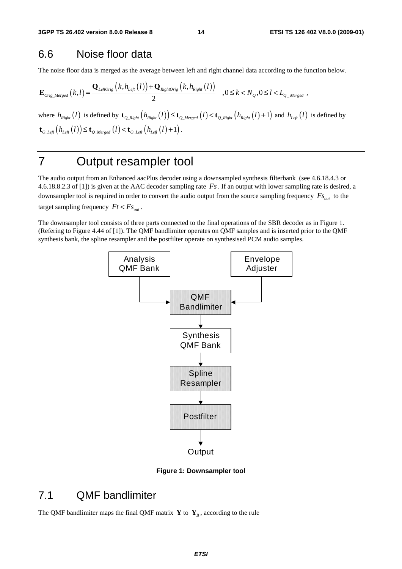### 6.6 Noise floor data

The noise floor data is merged as the average between left and right channel data according to the function below.

$$
\mathbf{E}_{\text{Orig\_Merged}}\left(k,l\right) = \frac{\mathbf{Q}_{\text{LeftOrig}}\left(k,h_{\text{Left}}\left(l\right)\right) + \mathbf{Q}_{\text{RightOrig}}\left(k,h_{\text{Right}}\left(l\right)\right)}{2} \quad , 0 \leq k < N_Q, 0 \leq l < L_{Q_{\text{Merged}}},
$$

where  $h_{Right}(l)$  is defined by  $\mathbf{t}_{Q\_Right}\left(h_{Right}(l)\right) \leq \mathbf{t}_{Q\_Merged}\left(l\right) < \mathbf{t}_{Q\_Right}\left(h_{Right}(l) + 1\right)$  and  $h_{Left}(l)$  is defined by  $\mathbf{t}_{O\text{ Left}}\left(h_{\text{Left}}\left(l\right)\right) \leq \mathbf{t}_{O\text{ Merged}}\left(l\right) < \mathbf{t}_{O\text{ Left}}\left(h_{\text{Left}}\left(l\right) + 1\right).$ 

### 7 Output resampler tool

The audio output from an Enhanced aacPlus decoder using a downsampled synthesis filterbank (see 4.6.18.4.3 or 4.6.18.8.2.3 of [1]) is given at the AAC decoder sampling rate *Fs*. If an output with lower sampling rate is desired, a downsampler tool is required in order to convert the audio output from the source sampling frequency  $F_{s_{out}}$  to the target sampling frequency  $Ft < Fs_{out}$ .

The downsampler tool consists of three parts connected to the final operations of the SBR decoder as in Figure 1. (Refering to Figure 4.44 of [1]). The QMF bandlimiter operates on QMF samples and is inserted prior to the QMF synthesis bank, the spline resampler and the postfilter operate on synthesised PCM audio samples.



**Figure 1: Downsampler tool** 

### 7.1 QMF bandlimiter

The QMF bandlimiter maps the final QMF matrix **Y** to  $\mathbf{Y}_B$ , according to the rule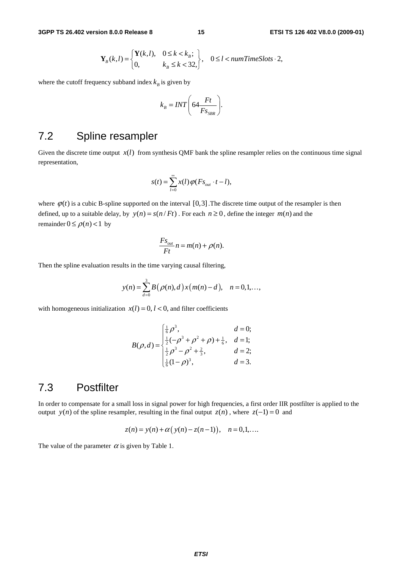$$
\mathbf{Y}_B(k,l) = \begin{cases} \mathbf{Y}(k,l), & 0 \le k < k_B; \\ 0, & k_B \le k < 32, \end{cases}, \quad 0 \le l < numTimeS lots \cdot 2,
$$

where the cutoff frequency subband index  $k<sub>B</sub>$  is given by

$$
k_B = INT \bigg( 64 \frac{Ft}{F s_{SBR}} \bigg).
$$

### 7.2 Spline resampler

Given the discrete time output  $x(l)$  from synthesis QMF bank the spline resampler relies on the continuous time signal representation,

$$
s(t) = \sum_{l=0}^{\infty} x(l) \varphi(Fs_{out} \cdot t - l),
$$

where  $\varphi(t)$  is a cubic B-spline supported on the interval [0,3]. The discrete time output of the resampler is then defined, up to a suitable delay, by  $y(n) = s(n / Ft)$ . For each  $n \ge 0$ , define the integer  $m(n)$  and the remainder  $0 \le \rho(n) < 1$  by

$$
\frac{F_{S_{out}}}{Ft} n = m(n) + \rho(n).
$$

Then the spline evaluation results in the time varying causal filtering,

$$
y(n) = \sum_{d=0}^{3} B(\rho(n), d) x(m(n) - d), \quad n = 0, 1, \dots,
$$

with homogeneous initialization  $x(l) = 0, l < 0$ , and filter coefficients

$$
B(\rho, d) = \begin{cases} \frac{1}{6}\rho^3, & d = 0; \\ \frac{1}{2}(-\rho^3 + \rho^2 + \rho) + \frac{1}{6}, & d = 1; \\ \frac{1}{2}\rho^3 - \rho^2 + \frac{2}{3}, & d = 2; \\ \frac{1}{6}(1-\rho)^3, & d = 3. \end{cases}
$$

### 7.3 Postfilter

In order to compensate for a small loss in signal power for high frequencies, a first order IIR postfilter is applied to the output *y*(*n*) of the spline resampler, resulting in the final output  $z(n)$ , where  $z(-1) = 0$  and

$$
z(n) = y(n) + \alpha (y(n) - z(n-1)), \quad n = 0, 1, ...
$$

The value of the parameter  $\alpha$  is given by Table 1.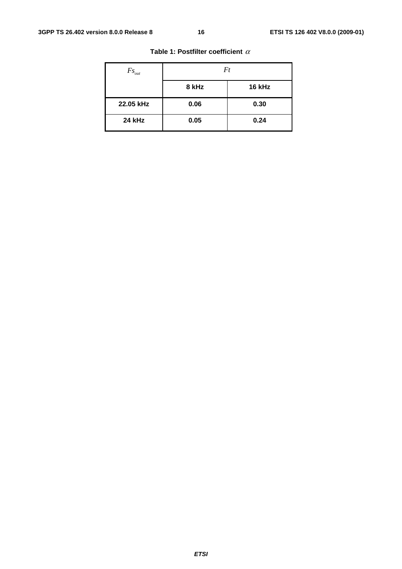| $Fs_{out}$    | Ft    |        |  |
|---------------|-------|--------|--|
|               | 8 kHz | 16 kHz |  |
| 22.05 kHz     | 0.06  | 0.30   |  |
| <b>24 kHz</b> | 0.05  | 0.24   |  |

#### **Table 1: Postfilter coefficient** <sup>α</sup>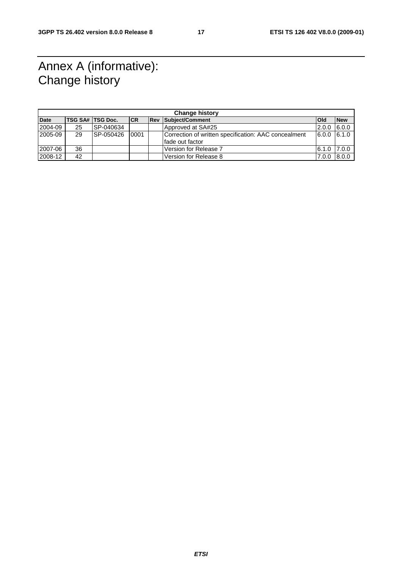### Annex A (informative): Change history

| <b>Change history</b> |    |                         |           |  |                                                      |                 |            |
|-----------------------|----|-------------------------|-----------|--|------------------------------------------------------|-----------------|------------|
| <b>Date</b>           |    | <b>TSG SA# TSG Doc.</b> | <b>CR</b> |  | <b>Rev Subject/Comment</b>                           | <b>Old</b>      | <b>New</b> |
| 2004-09               | 25 | SP-040634               |           |  | Approved at SA#25                                    | 2.0.0           | 6.0.0      |
| 2005-09               | 29 | SP-050426               | 0001      |  | Correction of written specification: AAC concealment | $6.0.0$ $6.1.0$ |            |
|                       |    |                         |           |  | Ifade out factor                                     |                 |            |
| 2007-06               | 36 |                         |           |  | Version for Release 7                                | 6.1.0           | 17.0.0     |
| 2008-12               | 42 |                         |           |  | Version for Release 8                                | 7.0.0           | 8.0.0      |